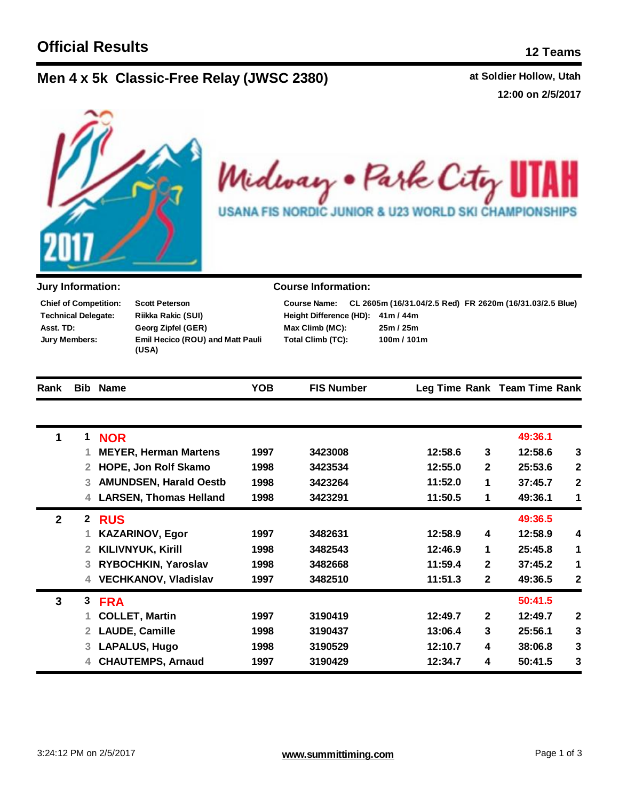## **Men**  $4 \times 5k$  **Classic-Free Relay (JWSC 2380)** at Soldier Hollow, Utah

**12:00 on 2/5/2017**



Midway . Park City ł **USANA FIS NORDIC JUNIOR & U23 WORLD SKI CHAMPIONSHIPS** 

| <b>Jury Information:</b>                                                                        |              |                                                                                   |                                  | <b>Course Information:</b> |                                                                                                 |              |                              |                  |
|-------------------------------------------------------------------------------------------------|--------------|-----------------------------------------------------------------------------------|----------------------------------|----------------------------|-------------------------------------------------------------------------------------------------|--------------|------------------------------|------------------|
| <b>Chief of Competition:</b><br><b>Technical Delegate:</b><br>Asst. TD:<br><b>Jury Members:</b> |              | <b>Scott Peterson</b><br><b>Riikka Rakic (SUI)</b><br>Georg Zipfel (GER)<br>(USA) | Emil Hecico (ROU) and Matt Pauli |                            | CL 2605m (16/31.04/2.5 Red) FR 2620m (16/31.03/2.5 Blue)<br>41m/44m<br>25m / 25m<br>100m / 101m |              |                              |                  |
| Rank                                                                                            |              | <b>Bib Name</b>                                                                   | <b>YOB</b>                       | <b>FIS Number</b>          |                                                                                                 |              | Leg Time Rank Team Time Rank |                  |
| 1                                                                                               | 1            | <b>NOR</b>                                                                        |                                  |                            |                                                                                                 |              | 49:36.1                      |                  |
|                                                                                                 | 1            | <b>MEYER, Herman Martens</b>                                                      | 1997                             | 3423008                    | 12:58.6                                                                                         | 3            | 12:58.6                      | $\mathbf{3}$     |
|                                                                                                 | 2            | HOPE, Jon Rolf Skamo                                                              | 1998                             | 3423534                    | 12:55.0                                                                                         | $\mathbf{2}$ | 25:53.6                      | $\mathbf{2}$     |
|                                                                                                 | 3            | <b>AMUNDSEN, Harald Oestb</b>                                                     | 1998                             | 3423264                    | 11:52.0                                                                                         | 1            | 37:45.7                      | $\mathbf 2$      |
|                                                                                                 | 4            | <b>LARSEN, Thomas Helland</b>                                                     | 1998                             | 3423291                    | 11:50.5                                                                                         | 1            | 49:36.1                      | 1                |
| $\overline{2}$                                                                                  | $\mathbf{2}$ | <b>RUS</b>                                                                        |                                  |                            |                                                                                                 |              | 49:36.5                      |                  |
|                                                                                                 | 1            | <b>KAZARINOV, Egor</b>                                                            | 1997                             | 3482631                    | 12:58.9                                                                                         | 4            | 12:58.9                      | 4                |
|                                                                                                 | 2            | <b>KILIVNYUK, Kirill</b>                                                          | 1998                             | 3482543                    | 12:46.9                                                                                         | 1            | 25:45.8                      | 1                |
|                                                                                                 | 3            | RYBOCHKIN, Yaroslav                                                               | 1998                             | 3482668                    | 11:59.4                                                                                         | $\mathbf{2}$ | 37:45.2                      | 1                |
|                                                                                                 | 4            | <b>VECHKANOV, Vladislav</b>                                                       | 1997                             | 3482510                    | 11:51.3                                                                                         | $\mathbf{2}$ | 49:36.5                      | $\boldsymbol{2}$ |
| 3                                                                                               | 3            | <b>FRA</b>                                                                        |                                  |                            |                                                                                                 |              | 50:41.5                      |                  |
|                                                                                                 | 1            | <b>COLLET, Martin</b>                                                             | 1997                             | 3190419                    | 12:49.7                                                                                         | $\mathbf{2}$ | 12:49.7                      | $\mathbf{2}$     |
|                                                                                                 | 2            | <b>LAUDE, Camille</b>                                                             | 1998                             | 3190437                    | 13:06.4                                                                                         | 3            | 25:56.1                      | 3                |
|                                                                                                 | 3            | <b>LAPALUS, Hugo</b>                                                              | 1998                             | 3190529                    | 12:10.7                                                                                         | 4            | 38:06.8                      | 3                |
|                                                                                                 | 4            | <b>CHAUTEMPS, Arnaud</b>                                                          | 1997                             | 3190429                    | 12:34.7                                                                                         | 4            | 50:41.5                      | 3                |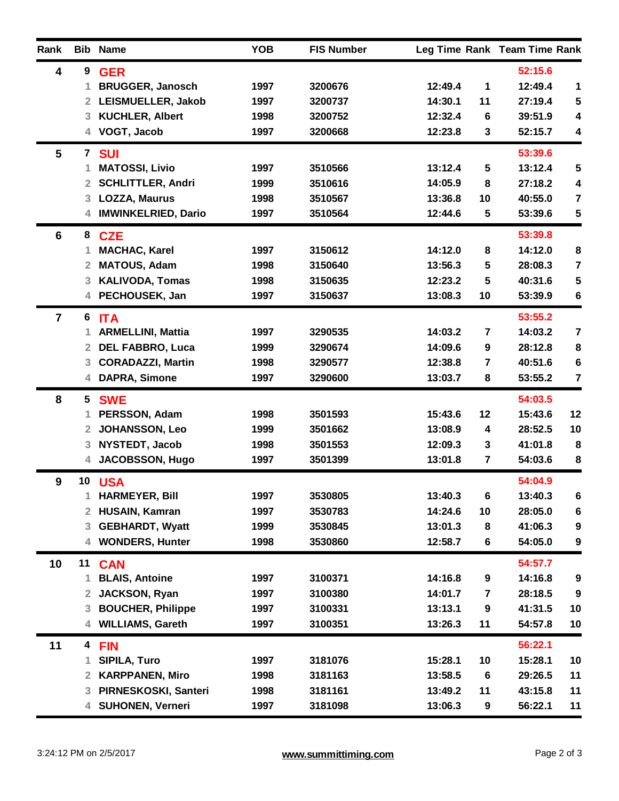| Rank           |                         | <b>Bib Name</b>            | <b>YOB</b> | <b>FIS Number</b> |         |                         | Leg Time Rank Team Time Rank |                         |
|----------------|-------------------------|----------------------------|------------|-------------------|---------|-------------------------|------------------------------|-------------------------|
| 4              | 9                       | <b>GER</b>                 |            |                   |         |                         | 52:15.6                      |                         |
|                | 1                       | <b>BRUGGER, Janosch</b>    | 1997       | 3200676           | 12:49.4 | 1                       | 12:49.4                      | 1                       |
|                | 2 <sup>1</sup>          | LEISMUELLER, Jakob         | 1997       | 3200737           | 14:30.1 | 11                      | 27:19.4                      | 5                       |
|                | 3                       | <b>KUCHLER, Albert</b>     | 1998       | 3200752           | 12:32.4 | 6                       | 39:51.9                      | 4                       |
|                | 4                       | VOGT, Jacob                | 1997       | 3200668           | 12:23.8 | 3                       | 52:15.7                      | $\overline{\mathbf{4}}$ |
| 5              | $\mathbf{7}$            | <b>SUI</b>                 |            |                   |         |                         | 53:39.6                      |                         |
|                |                         | <b>MATOSSI, Livio</b>      | 1997       | 3510566           | 13:12.4 | $5\phantom{1}$          | 13:12.4                      | 5                       |
|                | $\overline{2}$          | <b>SCHLITTLER, Andri</b>   | 1999       | 3510616           | 14:05.9 | 8                       | 27:18.2                      | 4                       |
|                | 3 <sup>1</sup>          | <b>LOZZA, Maurus</b>       | 1998       | 3510567           | 13:36.8 | 10                      | 40:55.0                      | $\overline{\mathbf{7}}$ |
|                | 4                       | <b>IMWINKELRIED, Dario</b> | 1997       | 3510564           | 12:44.6 | 5                       | 53:39.6                      | ${\bf 5}$               |
| 6              |                         | 8 CZE                      |            |                   |         |                         | 53:39.8                      |                         |
|                | 1                       | <b>MACHAC, Karel</b>       | 1997       | 3150612           | 14:12.0 | 8                       | 14:12.0                      | 8                       |
|                | $\overline{2}$          | <b>MATOUS, Adam</b>        | 1998       | 3150640           | 13:56.3 | 5                       | 28:08.3                      | $\overline{\mathbf{7}}$ |
|                | 3                       | <b>KALIVODA, Tomas</b>     | 1998       | 3150635           | 12:23.2 | 5                       | 40:31.6                      | 5                       |
|                | 4                       | PECHOUSEK, Jan             | 1997       | 3150637           | 13:08.3 | 10                      | 53:39.9                      | $6\phantom{1}6$         |
| $\overline{7}$ | 6                       | <b>ITA</b>                 |            |                   |         |                         | 53:55.2                      |                         |
|                | 1                       | <b>ARMELLINI, Mattia</b>   | 1997       | 3290535           | 14:03.2 | 7                       | 14:03.2                      | $\overline{7}$          |
|                | $\overline{2}$          | <b>DEL FABBRO, Luca</b>    | 1999       | 3290674           | 14:09.6 | 9                       | 28:12.8                      | ${\bf 8}$               |
|                | 3                       | <b>CORADAZZI, Martin</b>   | 1998       | 3290577           | 12:38.8 | 7                       | 40:51.6                      | $\bf 6$                 |
|                | 4                       | <b>DAPRA, Simone</b>       | 1997       | 3290600           | 13:03.7 | 8                       | 53:55.2                      | $\overline{7}$          |
| 8              | 5                       | <b>SWE</b>                 |            |                   |         |                         | 54:03.5                      |                         |
|                | 1                       | PERSSON, Adam              | 1998       | 3501593           | 15:43.6 | 12                      | 15:43.6                      | 12                      |
|                | 2                       | <b>JOHANSSON, Leo</b>      | 1999       | 3501662           | 13:08.9 | 4                       | 28:52.5                      | 10                      |
|                | 3                       | NYSTEDT, Jacob             | 1998       | 3501553           | 12:09.3 | 3                       | 41:01.8                      | 8                       |
|                | 4                       | <b>JACOBSSON, Hugo</b>     | 1997       | 3501399           | 13:01.8 | $\overline{\mathbf{r}}$ | 54:03.6                      | 8                       |
| 9              |                         | 10 USA                     |            |                   |         |                         | 54:04.9                      |                         |
|                |                         | <b>HARMEYER, Bill</b>      | 1997       | 3530805           | 13:40.3 | 6                       | 13:40.3                      | 6                       |
|                | $\overline{2}$          | <b>HUSAIN, Kamran</b>      | 1997       | 3530783           | 14:24.6 | 10                      | 28:05.0                      | $\boldsymbol{6}$        |
|                | 3                       | <b>GEBHARDT, Wyatt</b>     | 1999       | 3530845           | 13:01.3 | 8                       | 41:06.3                      | 9                       |
|                | 4                       | <b>WONDERS, Hunter</b>     | 1998       | 3530860           | 12:58.7 | $\bf 6$                 | 54:05.0                      | 9                       |
| 10             |                         | 11 CAN                     |            |                   |         |                         | 54:57.7                      |                         |
|                | 1                       | <b>BLAIS, Antoine</b>      | 1997       | 3100371           | 14:16.8 | $\boldsymbol{9}$        | 14:16.8                      | 9                       |
|                | $\overline{2}$          | <b>JACKSON, Ryan</b>       | 1997       | 3100380           | 14:01.7 | 7                       | 28:18.5                      | 9                       |
|                | 3                       | <b>BOUCHER, Philippe</b>   | 1997       | 3100331           | 13:13.1 | $\boldsymbol{9}$        | 41:31.5                      | 10                      |
|                | 4                       | <b>WILLIAMS, Gareth</b>    | 1997       | 3100351           | 13:26.3 | 11                      | 54:57.8                      | 10                      |
| 11             | $\overline{\mathbf{4}}$ | <b>FIN</b>                 |            |                   |         |                         | 56:22.1                      |                         |
|                | 1                       | <b>SIPILA, Turo</b>        | 1997       | 3181076           | 15:28.1 | 10                      | 15:28.1                      | 10                      |
|                | $\overline{2}$          | <b>KARPPANEN, Miro</b>     | 1998       | 3181163           | 13:58.5 | $6\phantom{1}6$         | 29:26.5                      | 11                      |
|                | 3                       | PIRNESKOSKI, Santeri       | 1998       | 3181161           | 13:49.2 | 11                      | 43:15.8                      | 11                      |
|                | 4                       | <b>SUHONEN, Verneri</b>    | 1997       | 3181098           | 13:06.3 | 9                       | 56:22.1                      | 11                      |